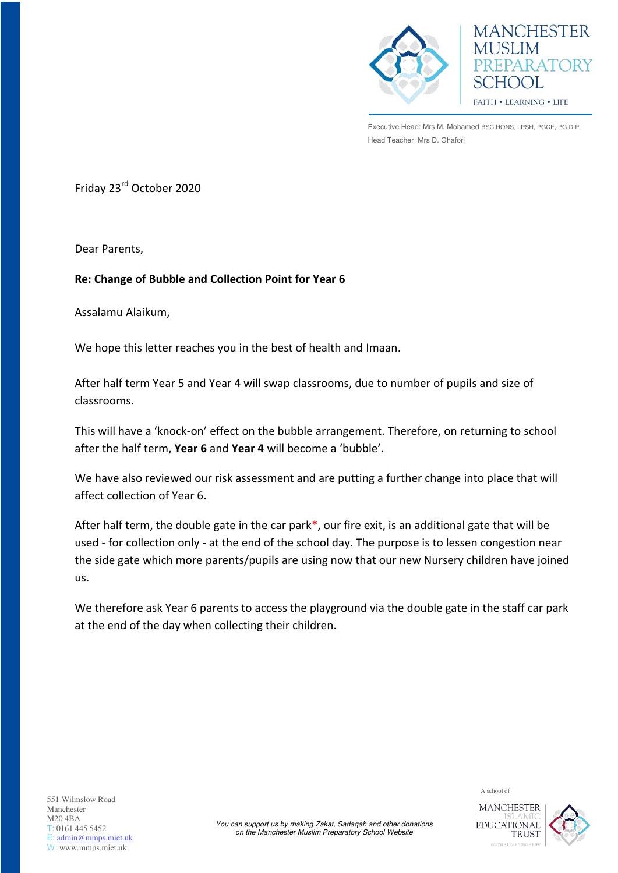

**MANCHESTER MUSLIM** PREPARATORY SCHOOL FAITH . LEARNING . LIFE

Executive Head: Mrs M. Mohamed BSC.HONS, LPSH, PGCE, PG.DIP Head Teacher: Mrs D. Ghafori

Friday 23rd October 2020

Dear Parents,

## **Re: Change of Bubble and Collection Point for Year 6**

Assalamu Alaikum,

We hope this letter reaches you in the best of health and Imaan.

After half term Year 5 and Year 4 will swap classrooms, due to number of pupils and size of classrooms.

This will have a 'knock-on' effect on the bubble arrangement. Therefore, on returning to school after the half term, **Year 6** and **Year 4** will become a 'bubble'.

We have also reviewed our risk assessment and are putting a further change into place that will affect collection of Year 6.

After half term, the double gate in the car park\*, our fire exit, is an additional gate that will be used - for collection only - at the end of the school day. The purpose is to lessen congestion near the side gate which more parents/pupils are using now that our new Nursery children have joined us.

We therefore ask Year 6 parents to access the playground via the double gate in the staff car park at the end of the day when collecting their children.



A school of